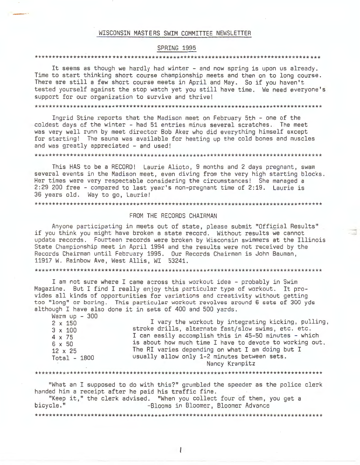#### WISCONSIN MASTERS SWIM COMMITTEE NEWSLETTER

### SPRING 1995

# 

It seems as though we hardly had winter - and now spring is upon us already. Time to start thinking short course championship meets and then on to long course. There are still a few short course meets in April and May. So if you haven't tested yourself against the stop watch yet you still have time. We need everyone's support for our organization to survive and thrive!

Ingrid Stine reports that the Madison meet on February 5th - one of the coldest days of the winter - had 51 entries minus several scratches. The meet was very well runn by meet director Bob Aker who did everything himself except for starting! The sauna was available for heating up the cold bones and muscles and was greatly appreciated - and used!

This HAS to be a RECORD! Laurie Alioto, 9 months and 2 days pregnant, swam several events in the Madison meet, even diving from the very high starting blocks. Her times were very respectable considering the circumstances! She managed a 2:29 200 free - compared to last year's non-pregnant time of 2:19. Laurie is 36 years old. Way to go, Laurie!

#### 

## FROM THE RECORDS CHAIRMAN

Anyone participating in meets out of state, please submit "Official Results" if you think you might have broken a state record. Without results we cannot update records. Fourteen records were broken by Wisconsin swimmers at the Illinois State Championship meet in April 1994 and the results were not received by the Records Chairman until February 1995. Our Records Chairman is John Bauman, 11917 W. Rainbow Ave, West Allis, WI 53241.

I am not sure where I came across this workout idea – probably in Swim Magazine. But I find I really enjoy this particular type of workout. It provides all kinds of opportunities for variations and creativity without getting too "long" or boring. This particular workout revolves around 6 sets of 300 yds although I have also done it in sets of 400 and 500 yards.

Warm  $\mu$ p - 300

| stroke drills, alternate fast/slow swims, etc. etc.<br>$3 \times 100$<br>I can easily accomplish this in 45-50 minutes - which<br>4 x 75<br>is about how much time I have to devote to working out.<br>6 x 50<br>The RI varies depending on what I am doing but I<br>$12 \times 25$<br>usually allow only 1-2 minutes between sets.<br>Total - 1800 |  |
|-----------------------------------------------------------------------------------------------------------------------------------------------------------------------------------------------------------------------------------------------------------------------------------------------------------------------------------------------------|--|
| Nancy Kranpitz                                                                                                                                                                                                                                                                                                                                      |  |

#### 

"What an I supposed to do with this?" grumbled the speeder as the police clerk handed him a receipt after he paid his traffic fine.

"Keep it," the clerk advised. "When you collect four of them, you get a bicycle." -Blooms in Bloomer, Bloomer Advance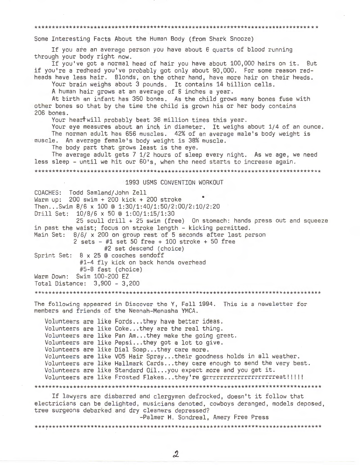Some Interesting Facts About the Human Body (from Shark Snooze)

If you are an average person you have about 6 quarts of blood running through your body right now.

If you've got a normal head of hair you have about 100,000 hairs on it. But if you're a redhead you've probably got only about 90,000. For some reason redheads have less hair. Blonds, on the other hand, have more hair on their heads.

Your brain weighs about 3 pounds. It contains 14 billion cells.

A human hair grows at an average of 8 inches a year.

At birth an infant has 350 bones. As the child grows many bones fuse with other bones so that by the time the child is grown his or her body contains 206 bones.

Your heart will probably beat 36 million times this year.

Your eye measures about an inch in diameter. It weighs about 1/4 of an ounce. The norman adult has 656 muscles. 42% of an average male's body weight is muscle. An average female's body weight is 38% muscle.

The body part that grows least is the eye.

The average adult gets 7 1/2 hours of sleep every night. As we age, we need less sleep - until we hit our 60's, when the need starts to increase again.

# 1993 USMS CONVENTION WORKOUT

COACHES: Todd Samland/John Zell Warm up:  $200 \text{ swim} + 200 \text{ kick} + 200 \text{ stroke}$ Then...Swim 8/6 x 100 @ 1:30/1:40/1:50/2:00/2:10/2:20 Drill Set: 10/8/6 x 50 @ 1:00/1:15/1:30 25 scull drill + 25 swim (free) On stomach: hands press out and squeeze in past the waist; focus on stroke length - kicking permitted. Main Set: 8/6/ x 200 on group rest of 5 seconds after last person 2 sets  $-$  #1 set 50 free + 100 stroke + 50 free #2 set descend (choice) Sprint Set: 8 x 25 @ coaches sendoff #1-4 fly kick on back hands overhead #5-8 fast (choice) Swim 100-200 EZ Warm Down: Total Distance: 3,900 - 3,200 The following appeared in Discover the Y, Fall 1994. This is a newsletter for members and friends of the Neenah-Menasha YMCA. Volunteers are like Fords...they have better ideas. Volunteers are like Coke...they are the real thing. Volunteers are like Pan Am...they make the going great. Volunteers are like Pepsi...they got a lot to give. Volunteers are like Dial Soap...they care more. Volunteers are like VO5 Hair Spray...their goodness holds in all weather. Volunteers are like Hallmark Cards...they care enough to send the very best. Volunteers are like Standard Oil...you expect more and you get it. Volunteers are like Frosted Flakes...they're grrrrrrrrrrrrrrrrrrrreat!!!!! If lawyers are disbarred and clergymen defrocked, doesn't it follow that electricians can be delighted, musicians denoted, cowboys deranged, models deposed,

tree surgeons debarked and dry cleaners depressed? -Palmer H. Sondreal, Amery Free Press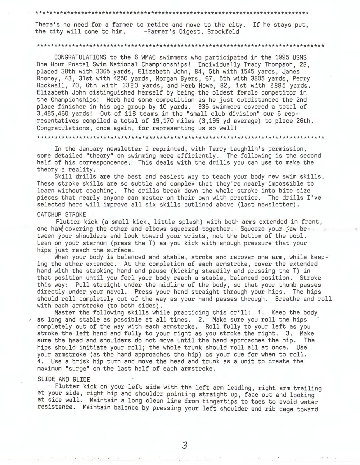\*\*\*\*\*\*\*\*\*\*\*\*\*\*\*\*\*\*\*\*\*\*\*\*\*\*\*\*\*\*\*\*\*\*\*\*\*\*\*\*\*\*\*\*\*\*\*\*\*\*\*\*\*\*\*\*\*\*\*\*\*\*\*\*\*\*\*\*\*\*\*\*\*\*\*\*\*\*

There's no need for a farmer to retire and move to the city. If he stays put,<br>the city will come to him. -Farmer's Digest, Brookfeld -Farmer's Digest, Brookfeld

#### \*\*\*\*\*\*\*\*\*\*\*\*\*\*\*\*\*\*\*\*\*\*\*\*\*\*\*\*\*\*\*\*\*\*\*\*\*\*\*\*\*\*\*\*\*\*\*\*\*\*\*\*\*\*\*\*\*\*\*\*\*\*\*\*\*\*\*\*\*\*\*\*\*\*\*\*\*\*\*\*\*\*

CONGRATULATIONS to the 6 WMAC swimmers who participated in the 1995 USMS One Hour Postal Swim National Championships! Individually Tracy Thompson, 28, placed 38th with 3365 yards, Elizabeth John, 84, 5th with 1545 yards, James Rooney, 43, 31st with 4250 yards, Morgan Byers, 67, 5th with 3805 yards, Perry Rockwell, 70, 6th with 3320 yards, and Herb Howe, 82, 1st with 2885 yards. Elizabeth John distinguished herself by being the oldest female competitor in the Championships! Herb had some competition as he just outdistanced the 2nd place finisher in his age group by 10 yards. 935 swimmers covered a total of 3,485,460 yards! Out of 118 teams in the "small club division" our 6 representatives compiled a total of 19,170 miles (3,195 yd average) to place 26th. Congratulations, once again, for representing us so well!

\*\*\*\*\*\*\*\*\*\*\*\*\*\*\*\*\*\*\*\*\*\*\*\*\*\*\*\*\*\*\*\*\*\*\*\*\*\*\*\*\*\*\*\*\*\*\*\*\*\*\*\*\*\*\*\*\*\*\*\*\*\*\*\*\*\*\*\*\*\*\*\*\*\*\*\*\*\*\*\*\*\*

In the January newsletter I reprinted, with Terry Laughlin's permission, some detailed "theory" on swimming more efficiently. The following is the second half of his correspondence. This deals with the drills you can use to make the theory a reality.

Skill drills are the best and easiest way to teach your body new swim skills. These stroke skills are so subtle and complex that they're nearly impossible to learn without coaching. The drills break down the whole stroke into bite-size pieces that nearly anyone can master on their own with practice. The drills I've selected here will improve all six skills outlined above (last newsletter).

#### CATCHUP STROKE

Flutter **kick** (a small **kick,** little splash) with both arms extended in front, one hand covering the other and elbows squeezed together. Squeeze your jaw between your shoulders and look toward your wrists, not the bottom of the pool. Lean on your sternum (press the T) as you kick with enough pressure that your hips just reach the surface.

When your body is balanced and stable, stroke and recover one arm, while keeping the other extended. At the completion of each armstroke, cover the extended hand with the stroking hand and pause (kicking steadily and pressing the T) in that position until you feel your body reach a stable, balanced position. Stroke this way: Pull straight under the midline of the body, so that your thumb passes directly under your navel. Press your hand straight through your hips. The hips should roll completely out of the way as your hand passes through. Breathe and roll with each armstroke (to both sides).

Master the following skills while practicing this drill: 1. Keep the body as long and stable as possible at all times. 2. Make sure you roll the hips completely out of the way with each armstroke. Roll fully to your left as you stroke the left hand and fully to your right as you stroke the right. 3. Make sure the head and shoulders do not move until the hand approaches the hip. The hips should initiate your roll; the whole trunk should roll all at once. Use your armstroke (as the hand approaches the hip) as your cue for when to roll. 4. Use a brisk hip turn and move the head and trunk as a unit to create the maximum "surge" on the last half of each armstroke.

## **SLIDE AND GLIDE**

Flutter kick on your left side with the left arm leading, right arm trailing at your side, right hip and shoulder pointing straight up, face out and looking at side wall. Maintain a long clean line from fingertips to toes to avoid water resistance. Maintain balance by pressing your left shoulder and rib cage toward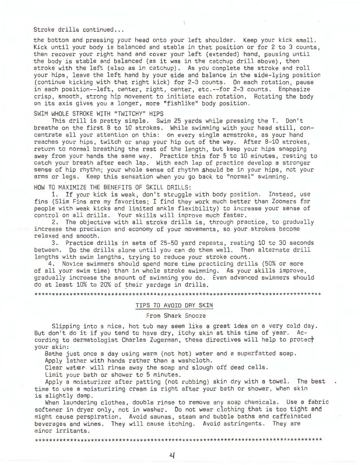Stroke drills continued...

the bottom and pressing your head onto your left shoulder. Keep your kick small. Kick until your body is balanced and stable in that position or for 2 to 3 counts, then recover your right hand and cover your left (extended) hand, pausing until the body is stable and balanced (as it was in the catchup drill above), then stroke with the left (also as in catchup). As you complete the stroke and roll your hips, leave the left hand by your side and balance in the side-lying position (continue kicking with that right kick) for 2-3 counts. On each rotation, pause in each position--left, center, right, center, etc.--for 2-3 counts. Emphasize crisp, smooth, strong hip movement to initiate each rotation. Rotating the body on its axis gives you a longer, more "fishlike" body position.

# SWIM WHOLE STROKE WITH "TWITCHY" HIPS

This drill is pretty simple. Swim 25 yards while pressing the T. Don't breathe on the first 8 to 10 strokes. While swimming with your head still, concentrate all your attention on this: on every single armstroke, as your hand reaches your hips, twitch or snap your hip out of the way. After 8-10 strokes, return to normal breathing the rest of the length, but keep your hips snapping away from your hands the same way. Practice this for 5 to 10 minutes, resting to catch your breath after each lap. With each lap of practice develop a stronger sense of hip rhythm; your whole sense of rhythm should be in your hips, not your arms or legs. Keep this sensation when you go back to "normal" swimming.

HOW TO MAXIMIZE THE BENEFITS OF SKILL DRILLS:

1. If your kick is weak, don't struggle with body position. Instead, use fins (Slim Fins are my favorites; I find they work much better than Zoomers for people with weak kicks and limited ankle flexibility) to increase your sense of control on all drills. Your skills will improve much faster.

2. The objective with all stroke drills is, through practice, to gradually increase the precision and economy of your movements, so your strokes become relaxed and smooth.

3. Practice drills in sets of 25-50 yard repeats, resting 10 to 30 seconds between. Do the drills alone until you can do them well. Then alternate drill lengths with swim lengths, trying to reduce your stroke count.

4. Novice swimmers should spend more time practicing drills (50% or more of all your swim time) than in whole stroke swimming. As your skills improve, gradually increase the amount of swimming you do. Even advanced swimmers should do at least 10% to 20% of their yardage in drills.

\*\*\*\*\*\*\*\*\*\*\*\*\*\*\*\*\*\*\*\*\*\*\*\*\*\*\*\*\*\*\*\*\*\*\*\*\*\*\*\*\*\*\*\*\*\*\*\*\*\*\*\*\*\*\*\*\*\*\*\*\*\*\*\*\*\*\*\*\*\*\*\*\*\*\*\*\*\*\*\*\*\*

### TIPS TO AVOID DRY **SKIN**

# From Shark Snooze

Slipping into a nice, hot tub may seem like a great idea on a very cold day. But don't do it if you tend to have dry, itchy skin at this time of year. According to dermatologist Charles Zugerman, these directives will help to protect your skin:

Bathe just once a day using warm (not hot) water and a superfatted soap.

Apply lather with hands rather than a washcloth.

Clear water will rinse away the soap and slough off dead cells.

Limit your bath or shower to 5 minutes.

Apply a moisturizer after patting (not rubbing) skin dry with a towel. The best time to use a moisturizing cream is right after your bath or shower, when skin is slightly damp.

When laundering clothes, double rinse to remove any soap chemicals. Use a fabric softener in dryer only, not in washer. Do not wear clothing that is too tight and might cause perspiration. Avoid saunas, steam and bubble baths and caffeinated beverages and wines. They will cause itching. Avoid astringents. They are minor irritants.

\*\*\*\*\*\*\*\*\*\*\*\*\*\*\*\*\*\*\*\*\*\*\*\*\*\*\*\*\*\*\*\*\*\*\*\*\*\*\*\*\*\*\*\*\*\*\*\*\*\*\*\*\*\*\*\*\*\*\*\*\*\*\*\*\*\*\*\*\*\*\*\*\*\*\*\*\*\*\*\*\*\*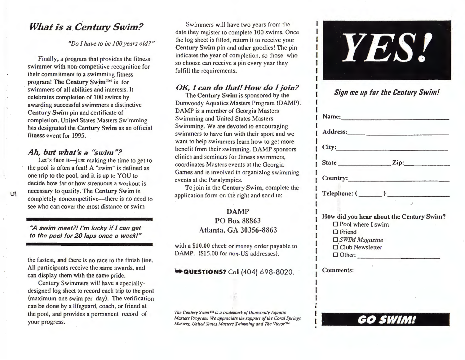# *What is a Century Swim?*

*"Do I have to be JOO years old?"* 

Finally, a program that provides the fitness swimmer with non-competitive recognition for their commitment to a swimming fitness program! The **Century Swim™** is for swimmers of all abilities and interests. It celebrates completion of 100 swims by awarding successful swimmers a distinctive Century **Swim** pin and certificate of completion. United States Masters Swimming has designated the **Century Swim** as an official fitness event for 1995.

# *Ah, but what's a "swim"?*

Let's face it—just making the time to get to the pool is often a feat! A "swim" is defined as one trip to the pool, and it is up to YOU to decide how far or how strenuous a workout is necessary to qualify. The Century Swim is completely noncompetitive-there is no need to see who can cover the most distance or swim

> **.,,A swim meet?/ I'm lucky if** *I* **con get**  to the pool for 20 laps once a week!"

the fastest, and there is no race to the finish line. All participants receive the same awards, and can display them with the same pride.

Century Swimmers will have a speciallydesigned log sheet to record each trip to the pool (maximum one swim per day). The verification can be done by a lifeguard, coach, or friend at the pool, and provides a permanent record of your progress.

Swimmers will have two years from the date they register to complete 100 swims. Once the log sheet is filled, return it to receive your **Century Swim** pin and other goodies! The pin indicates the year of completion, so those who so choose can receive a pin every year they fulfill the requirements.

# *OK, I can do that! How do I join?*

The **Century Swim** is sponsored by the Dunwoody Aquatics Masters Program (DAMP). DAMP is a member of Georgia Masters Swimming and United States Masters Swimming. We are devoted to encouraging swimmers to have fun with their sport and we want to help swimmers learn how to get more benefit from their swimming. DAMP sponsors clinics and seminars for fitness swimmers, coordinates Masters events at the Georgia Games and is involved in organizing swimming events at the Paralympics.

To join in the **Century Swim,** complete the application form on the right and send to:

# DAMP PO Box 88863 Atlanta, GA 30356-8863

with a \$10.00 check or money order payable to DAMP. (\$15.00 for non-US addresses).

**•• QUESTIONS?** Call (404) 698-8020.

*The Century Swim* TM *is a trademark of Dunwoody Aquatic Masters Program. We appreciate the support of the Coral Springs Masters, United States Masters Swimming and The Victor™* 



# *Sign me up for the Century Swim!*

| Name:                                                                                                                                               |
|-----------------------------------------------------------------------------------------------------------------------------------------------------|
|                                                                                                                                                     |
| City:                                                                                                                                               |
|                                                                                                                                                     |
| Country: Note and the Country:                                                                                                                      |
|                                                                                                                                                     |
| How did you hear about the Century Swim?<br>$\Box$ Pool where I swim<br>$\Box$ Friend<br>$\Box$ SWIM Magazine<br>□ Club Newsletter<br>$\Box$ Other: |
| <b>Comments:</b>                                                                                                                                    |

I **OOSWIM!** 

I I I I I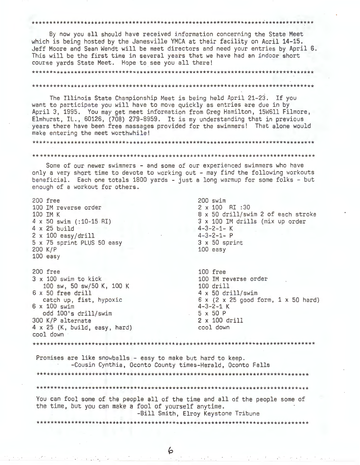#### 

By now you all should have received information concerning the State Meet which is being hosted by the Janesville YMCA at their facility on Aoril 14-15. Jeff Moore and Sean Wendt will be meet directors and need your entries by April 6. This will be the first time in several years that we have had an indoor short course yards State Meet. Hope to see you all there!

# The Illinois State Championship Meet is being held April 21-23. If you want to participate you will have to move quickly as entries are due in by April 3, 1995. You may get meet information from Greg Hamilton, 15W611 Filmore, Elmhurst, IL., 60126, (708) 279-8959. It is my understanding that in previous years there have been free massages provided for the swimmers! That alone would make entering the meet worthwhile!

# 

Some of our newer swimmers - and some of our experienced swimmers who have only a very short time to devote to working out - may find the following workouts beneficial. Each one totals 1800 yards - just a long warmup for some folks - but enough of a workout for others.

200 free  $200$  swim 100 IM reverse order 2 x 100 RI:30 8 x 50 drill/swim 2 of each stroke 100 IM K 4 x 50 swim (:10-15 RI) 3 x 100 IM drills (mix up order  $4 - 3 - 2 - 1 - K$  $4 \times 25$  build  $4 - 3 - 2 - 1 - P$  $2 \times 100$  easy/drill 5 x 75 sprint PLUS 50 easy  $3 \times 50$  sprint 200 K/P  $100$  easy  $100$  easy 200 free 100 free 100 IM reverse order  $3 \times 100$  swim to kick 100 drill 100 sw, 50 sw/50 K, 100 K  $4 \times 50$  drill/swim 6 x 50 free drill catch up, fist, hypoxic  $6 \times (2 \times 25 \text{ good form}, 1 \times 50 \text{ hard})$ 6 x 100 swim  $4 - 3 - 2 - 1$  K odd 100's drill/swim  $5x50P$ 300 K/P alternate 2 x 100 drill  $4 \times 25$  (K, build, easy, hard) cool down cool down \*\*\*\*\*\*\*\*\*\*\*\*\*\*\*\*\*\*\*\*\* Promises are like snowballs - easy to make but hard to keep. -Cousin Cynthia, Oconto County times-Herald, Oconto Falls You can fool some of the people all of the time and all of the people some of the time, but you can make a fool of yourself anytime. -Bill Smith, Elroy Keystone Tribune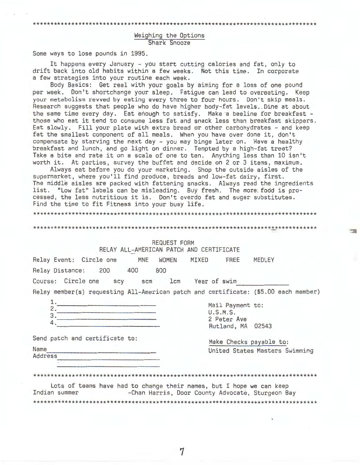# Weighing the Options Shark Snooze

Some ways to lose pounds in 1995.

It happens every January - you start cutting calories and fat, only to drift back into old habits within a few weeks. Not this time. In corporate a few strategies into your routine each week.

Body Basics: Get real with your goals by aiming for a loss of one pound per week. Don't shortchange your sleep. Fatigue can lead to overeating. Keep your metabolism revved by eating every three to four hours. Don't skip meals. Research suggests that people who do have higher body-fat levels. Dine at about the same time every day. Eat enough to satisfy. Make a beeline for breakfast those who eat it tend to consume less fat and snack less than breakfast skippers. Eat slowly. Fill your plate with extra bread or other carbohydrates - and keep fat the smallest component of all meals . When you have over done it, don't compensate by starving the next day - you may binge later on. Have a healthy breakfast and lunch, and go light on dinner. Tempted by a high-fat treat? Take a bite and rate it on a scale of one to ten. Anything less than 10 isn't worth it. At parties, survey the buffet and decide on 2 or 3 items, maximum.

Always eat before you do your marketing. Shop the outside aisles of the supermarket, where you'll find produce, breads and low-fat dairy, first. The middle aisles are packed with fattening snacks. Always read the ingredients list. "Low fat" labels can be misleading. Buy fresh. The more: fodd is processed, the less nutritious it is. Don't overdo fat and sugar substitutes. Find the time to fit Fitness into your busy life.

\*\*\*\*\*\*\*\*\*\*\*\*\*\*\*\*\*\*\*\*\*\*\*\*\*\*\*\*\*\*\*\*\*\*\* \*\*\*\*\*\*\*\*\*\*\*\*\*\*\*\*\*\*\*\*\*\*\*\*\*\*\*\*\*\*\*\*\*\*\*\*\*\*\*\*\*\*\*\*\*\*

\*\* \*\*\*\*\* \*\*\*\*\*\*\*\*\*\*\*\*\*\*\*\*\*\*\*\*\*\*\*\*\*\*\*\*\*\*\*\*\*\*\*\*\*\*\*\*\*\*\*\*\*\*\*\*\*\*\*\*\*\*\*\*\*\*\*\*\*\*\*\*\*\*\*\*\*\*\*\*\*\*

# REQUEST FORM

|                      |                                |  |            | RELAY ALL-AMERICAN PATCH AND CERTIFICATE |       |                                                                                     |        |  |
|----------------------|--------------------------------|--|------------|------------------------------------------|-------|-------------------------------------------------------------------------------------|--------|--|
|                      | Relay Event: Circle one        |  | <b>MNE</b> | <b>WOMEN</b>                             | MIXED | FREE                                                                                | MEDLEY |  |
|                      | Relay Distance: 200            |  | 400        | 800                                      |       |                                                                                     |        |  |
|                      | Course: Circle one scy         |  |            | scm 1cm Year of swim                     |       |                                                                                     |        |  |
|                      |                                |  |            |                                          |       | Relay member(s) requesting All-American patch and certificate: (\$5.00 each member) |        |  |
| 1.<br>2.<br>3.<br>4. |                                |  |            |                                          |       | Mail Payment to:<br>U.S.M.S.<br>2 Peter Ave                                         |        |  |
|                      |                                |  |            |                                          |       | Rutland, MA 02543                                                                   |        |  |
|                      | Send patch and certificate to: |  |            |                                          |       | Make Checks payable to:                                                             |        |  |

Addr\_e\_s\_s Name \_\_\_\_\_\_\_\_\_\_\_\_\_ \_ United States Masters Swimming

**STATE** 

### \*\*\*\*\*\*\*\*\*\*\*\*\*\*\*\*\*\*\*\*\*\*\*\*\*\*\*\*\*\*\*\*\*\*\*\*\*\*\*\*\*\*\*\*\*\*\*\*\*\*\*\*\*\*\*\*\*\*\*\*\*\*\*\*\*\*\*\*\*\*\*\*\*\*\*\*\*\*\*\*\*

Lots of teams have had to change their names, but I hope we can keep<br>Chan Harris, Door County Advocate, Sturgeon Barchiner -Chan Harris, Door County Advocate, Sturgeon Bay \*\*\*\*\*\*\*\*\*\*\*\*\*\*\*\*\*\*\*\*\*\*\*\*\*\*\*\*\*\*\*\*\*\*\*\*\*\*\*\*\*\*\*\*\*\*\*\*\*\*\*\*\*\*\*\*\*\*\*\*\*\*\*\*\*\*\*\*\*\*\*\*\*\*\*\*\*\*\*\*\*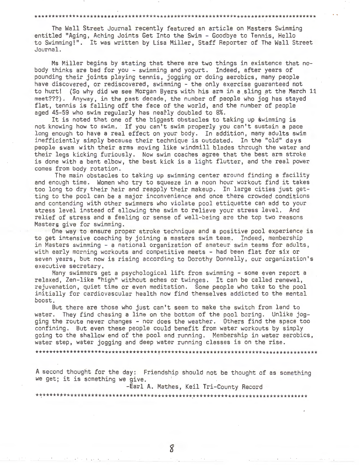# \*\*\*\*\*\*\*\*\*\*\*\*\*\*\*\*\*\*\*\*\*\*\*\*\*\*\*\*\*\*\*\*\*\*\*\*\*\*\*\*\*\*\*\*\*\*\*\*\*\*\*\*\*\*\*\*\*\*\*\*\*\*\*\*\*\*\*\*\*\*\*\*\*\*\*\*\*\*\*\*\*

The Wall Street Journal recently featured an article on Masters Swimming entitled "Aging, Aching Joints Get Into the Swim - Goodbye to Tennis, Hello to Swimming!". It was written by Lisa Miller, Staff Reporter of The Wall Street Journal.

Ms Miller begins by stating that there are two things in existence that nobody thinks are bad for you - swimming and yogurt. Indeed, after years of pounding their joints playing tennis, jogging or doing aerobics, many people have discovered, or rediscovered, swimming - the only exercise guaranteed not to hurt! (So why did we see Morgan Byers with his arm in a sling at the March 11 meet???). Anyway, in the past decade, the number of people who jog has stayed flat, tennis is falling off the face of the world, and the number of people aged 45-59 who swim regularly has neatly doubled to 8%.

It is noted that one of the biggest obstacles to taking up swimming is not knowing how to swim. If you can't swim properly you can't sustain a pace long enough to have a real effect on your body. In addition, many adults swim inefficiently simply because their technique is outdated. In the "old" days people swam with their arms moving like windmill blades through the water and their legs kicking furiously. Now swim coaches agree that the best arm stroke is done with a bent elbow, the best kick is a light flutter, and the real power comes from body rotation.

The main obstacles to taking up swimming center around finding a facility and enough time. Women who try to squeeze in a noon hour workout find it takes too long to dry their hair and reapply their makeup. In large cities just getting to the pool can be a major inconvenience and once there crowded conditions and contending with other swimmers who violate pool ettiquette can add to your stress level instead of allowing the swim to relieve your stress level. And relief of stress and a feeling or sense of well-being are the top two reasons Masters give for swimming.

One way to ensure proper stroke technique and a positive pool experience is to get intensive coaching by joining a masters swim team. Indeed, membership in Masters swimming - a national organization of amateur swim teams for adults, with early morning workouts and competitive meets - had been flat for six or seven years, but now is rising according to Dorothy Donnelly, our organization's executive secretary.

Many swimmers get a psychological lift from swimming - some even report a relaxed, Zen-like "high" without aches or twinges. It can be called renewal, rejuvenation, quiet time or even meditation. Some people who take to the pool initially for cardiovascular health now find themselves addicted to the mental boost.

But there are those who just can't seem to make the switch from land to water. They find chasing a line on the bottom of the pool boring. Unlike jogging the route never changes - nor does the weather. Others find the space too confining. But even these people could benefit from water workouts by simply going to the shallow end of the pool and running. Membership in water aerobics, water step, water jogging and deep water running classes is on the rise.

\*\*\*\*\*\*\*\*\*\*\*\*\*\*\*\*\*\*\*\*\*\*\*\*\*\*\*\*\*\*\*\*\*\*\*~\*\*\*\*\*\*\*\*\*\*\*\*\*\*\*\*\*\*\*\*\*\*\*\*\*\*\*\*\*\*\*\*\*\*\*\*\*\*\*\*\*\*\*\*\*

A second thought for the day: Friendship should not be thought of as something we get; it is something we give.

-Earl A. Mathes, Keil Tri-County Record

\*\*\*\*\*\*\*\*\*\*\*\*\*\*\*\*\*\*\*\*\*\*\*\*\*\*\*\*\*\*\*\*\*\*\*\*\*\*\*\*\*\*\*\*\*\*\*\*\*\*\*\*\*\*\*\*\*\*\*\*\*\*\*\*\*\*\*\*\*\*\*\*\*\*\*\*\*\*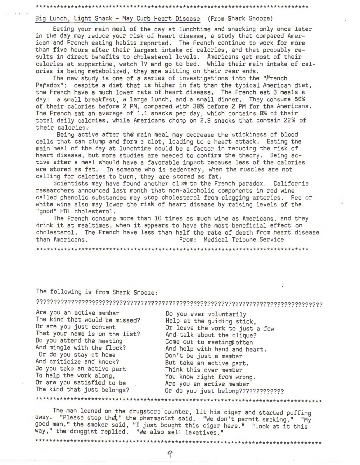# \*\*\*\*\*\*\*\*\*\*\*\*\*\*\*\*\*\*\*\*\*\*\*\*\*\*\*\*\*\*\*\*\*\*\*\*\*\*\*\*\*\*\*\*\*\*\*\*\*\*\*\*\*\*\*\*\*\*\*\*\*\*\*\*\*\*\*\*\*\*\*\*\*\*\*\*\*\*

#### Big Lunch, Light Snack - May Curb Heart Disease (From Shark Snooze)

Eating your main meal of the day at lunchtime and snacking only once later in the day may reduce your risk of heart disease, a study that compared American and French eating habits reported. The French continue to work for more than five hours after their largest intake of calories, and that probably results in direct benefits to cholesterol levels. Americans get most of their calories at suppertime, watch TV and go to bed. While their main intake of calories is being metabolized, they are sitting on their rear ends.

The new study is one of a series of investigations into the "French Paradox": despite a diet that is higher in fat than the typical American diet, the French have a much lower rate of heart disease. The French eat 3 meals a day: a small breakfast, a large lunch, and a small dinner. They consume 56% of their calories before 2 PM, compared with 38% before 2 PM for the Americans. The French eat an average of 1.1 snacks per day, which contains 8% of their total daily calories, while Americans chomp on 2.9 snacks that contain 22% of \_ their calories.

Being active after the main meal may decrease the stickiness of blood cells that can clump and form a clot, leading to a heart attack. Eating the main meal of the day at lunchtime could be a factor in reducing the risk of heart disease, but more studies are needed to confirm the theory. Being active after a meal should have a favorable impact because less of the calories are stored as fat. In someone who is sedentary, when the muscles are not calling for calories to burn, they are stored as fat.

Scientists may have found another clue to the French paradox. California researchers announced last month that non-alcoholic components in red wine called phenolic substances may stop cholesterol from clogging arteries. Red or white wine also may lower the risk of heart disease by raising levels of the "good" HDL cholesterol.

The French consume more than 10 times as much wine as Americans, and they drink it at mealtimes, when it appears to have the most beneficial effect on cholesterol. The French have less than half the rate of death from heart disease<br>From: Medical Tribune Service From: Medical Tribune Service

\*\*\*\*\*\*\*\*\*\*\*\*\*\*\*\*\*\*\*\*\*\*\*\*\*\*\*\*\*\*\*\*\*\*\*\*\*\*\*\*\*\*\*\*\*\*\*\*\*\*\*\*\*\*\*\*\*\*\*\*\*\*\*\*\*\*\*\*\*\*\*\*\*\*\*\*\*\*

# The following is from Shark Snooze:

?????????????????????????????????????????????????????????????????????????????????? ....................... . ....................

Are you an active member Do you ever voluntarily The kind that would be missed?<br>
Or are you just content<br>
Or leave the work to just That your name is on the list?<br>Do you attend the meeting Do you attend the meeting come out to meetings often<br>And mingle with the flock? And help with hand and hea Or do you stay at home Don't be just a member Do you take an active part<br>To help the work along, Or are you satisfied to be a mean active member<br>The kind that just belongs? Or do you just belong??? \*\*\*\*\*\*\*\*\*\*\*\*\*\*\*\*\*\*\*\*\*\*\*\*\*\*\*\*\*\*\*\*\*\*\*\*\*\*\*\*\*\*\*\*\*\*\*\*\*\*\*\*\*\*\*\*\*\*\*\*\*\*\*\*\*\*\*\*\*\*\*\*\*\*\*\*\*\*\*\*\*\*

Or leave the work to just a few<br>And talk about the clique? And mingle with the flock? And help with hand and heart. But take an active part.<br>Think this over member You know right from wrong. Or do you just belong??????????????

The man leaned on the drugstore counter, lit his cigar and started puffing<br>away. "Please stop that," the pharmacist said. "We don't permit smoking." "My good man," the smoker said, "I just bought this cigar here." "Look at it this way," the druggist replied. "We also sell laxatives."

\*\*\*\*\*\*\*\*\*\*\*\*\*\*\*\*\*\*\*\*\*\*\*\*\*\*\*\*\*\*\*\*\*\*\*\*\*\*\*\*\*\*\*\*\*\*\*\*\*\*\*\*\*\*\*\*\*\*\*\*\*\*\*\*\*\*\*\*\*\*\*\*\*\*\*\*\*\*\*\*\*\*